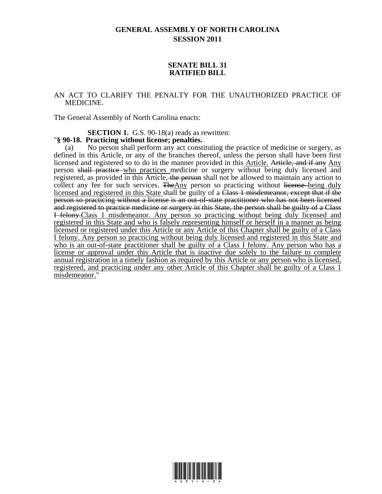## **GENERAL ASSEMBLY OF NORTH CAROLINA SESSION 2011**

## **SENATE BILL 31 RATIFIED BILL**

## AN ACT TO CLARIFY THE PENALTY FOR THE UNAUTHORIZED PRACTICE OF MEDICINE.

The General Assembly of North Carolina enacts:

**SECTION 1.** G.S. 90-18(a) reads as rewritten:

## "**§ 90-18. Practicing without license; penalties.**

(a) No person shall perform any act constituting the practice of medicine or surgery, as defined in this Article, or any of the branches thereof, unless the person shall have been first licensed and registered so to do in the manner provided in this Article. Article, and if any Any person shall practice who practices medicine or surgery without being duly licensed and registered, as provided in this Article, the person shall not be allowed to maintain any action to collect any fee for such services. The Any person so practicing without license being duly licensed and registered in this State shall be guilty of a Class 1 misdemeanor, except that if the person so practicing without a license is an out-of-state practitioner who has not been licensed and registered to practice medicine or surgery in this State, the person shall be guilty of a Class I felony.Class 1 misdemeanor. Any person so practicing without being duly licensed and registered in this State and who is falsely representing himself or herself in a manner as being licensed or registered under this Article or any Article of this Chapter shall be guilty of a Class I felony. Any person so practicing without being duly licensed and registered in this State and who is an out-of-state practitioner shall be guilty of a Class I felony. Any person who has a license or approval under this Article that is inactive due solely to the failure to complete annual registration in a timely fashion as required by this Article or any person who is licensed, registered, and practicing under any other Article of this Chapter shall be guilty of a Class 1 misdemeanor."